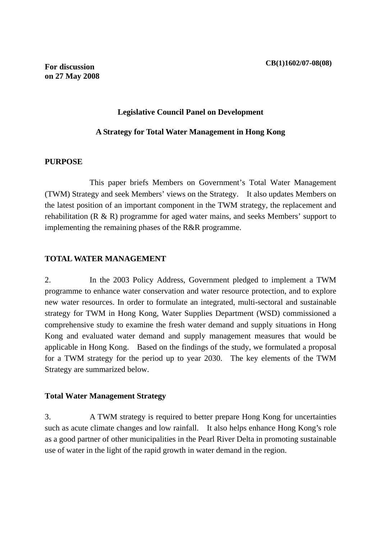#### **Legislative Council Panel on Development**

#### **A Strategy for Total Water Management in Hong Kong**

#### **PURPOSE**

 This paper briefs Members on Government's Total Water Management (TWM) Strategy and seek Members' views on the Strategy. It also updates Members on the latest position of an important component in the TWM strategy, the replacement and rehabilitation (R & R) programme for aged water mains, and seeks Members' support to implementing the remaining phases of the R&R programme.

## **TOTAL WATER MANAGEMENT**

2. In the 2003 Policy Address, Government pledged to implement a TWM programme to enhance water conservation and water resource protection, and to explore new water resources. In order to formulate an integrated, multi-sectoral and sustainable strategy for TWM in Hong Kong, Water Supplies Department (WSD) commissioned a comprehensive study to examine the fresh water demand and supply situations in Hong Kong and evaluated water demand and supply management measures that would be applicable in Hong Kong. Based on the findings of the study, we formulated a proposal for a TWM strategy for the period up to year 2030. The key elements of the TWM Strategy are summarized below.

### **Total Water Management Strategy**

3. A TWM strategy is required to better prepare Hong Kong for uncertainties such as acute climate changes and low rainfall. It also helps enhance Hong Kong's role as a good partner of other municipalities in the Pearl River Delta in promoting sustainable use of water in the light of the rapid growth in water demand in the region.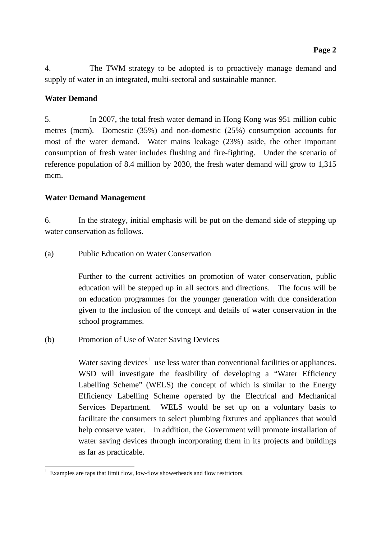4. The TWM strategy to be adopted is to proactively manage demand and supply of water in an integrated, multi-sectoral and sustainable manner.

## **Water Demand**

5. In 2007, the total fresh water demand in Hong Kong was 951 million cubic metres (mcm). Domestic (35%) and non-domestic (25%) consumption accounts for most of the water demand. Water mains leakage (23%) aside, the other important consumption of fresh water includes flushing and fire-fighting. Under the scenario of reference population of 8.4 million by 2030, the fresh water demand will grow to 1,315 mcm.

## **Water Demand Management**

6. In the strategy, initial emphasis will be put on the demand side of stepping up water conservation as follows.

(a) Public Education on Water Conservation

 Further to the current activities on promotion of water conservation, public education will be stepped up in all sectors and directions. The focus will be on education programmes for the younger generation with due consideration given to the inclusion of the concept and details of water conservation in the school programmes.

(b) Promotion of Use of Water Saving Devices

Water saving devices<sup>1</sup> use less water than conventional facilities or appliances. WSD will investigate the feasibility of developing a "Water Efficiency Labelling Scheme" (WELS) the concept of which is similar to the Energy Efficiency Labelling Scheme operated by the Electrical and Mechanical Services Department. WELS would be set up on a voluntary basis to facilitate the consumers to select plumbing fixtures and appliances that would help conserve water. In addition, the Government will promote installation of water saving devices through incorporating them in its projects and buildings as far as practicable.

<sup>-</sup>1 Examples are taps that limit flow, low-flow showerheads and flow restrictors.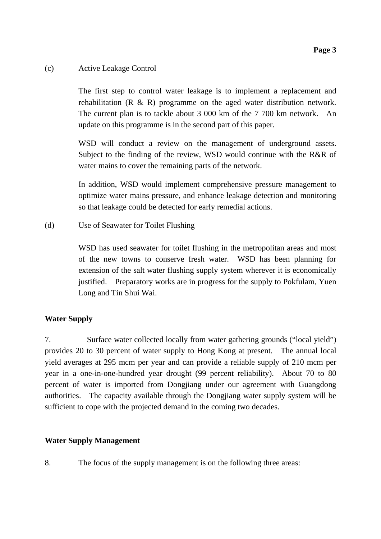### (c) Active Leakage Control

The first step to control water leakage is to implement a replacement and rehabilitation (R & R) programme on the aged water distribution network. The current plan is to tackle about 3 000 km of the 7 700 km network. An update on this programme is in the second part of this paper.

WSD will conduct a review on the management of underground assets. Subject to the finding of the review, WSD would continue with the R&R of water mains to cover the remaining parts of the network.

In addition, WSD would implement comprehensive pressure management to optimize water mains pressure, and enhance leakage detection and monitoring so that leakage could be detected for early remedial actions.

(d) Use of Seawater for Toilet Flushing

WSD has used seawater for toilet flushing in the metropolitan areas and most of the new towns to conserve fresh water. WSD has been planning for extension of the salt water flushing supply system wherever it is economically justified. Preparatory works are in progress for the supply to Pokfulam, Yuen Long and Tin Shui Wai.

## **Water Supply**

7. Surface water collected locally from water gathering grounds ("local yield") provides 20 to 30 percent of water supply to Hong Kong at present. The annual local yield averages at 295 mcm per year and can provide a reliable supply of 210 mcm per year in a one-in-one-hundred year drought (99 percent reliability). About 70 to 80 percent of water is imported from Dongjiang under our agreement with Guangdong authorities. The capacity available through the Dongjiang water supply system will be sufficient to cope with the projected demand in the coming two decades.

## **Water Supply Management**

8. The focus of the supply management is on the following three areas: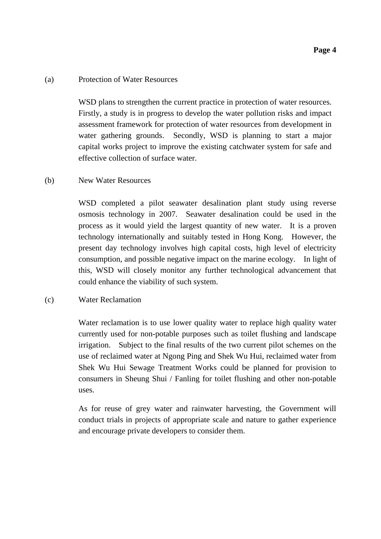#### (a) Protection of Water Resources

WSD plans to strengthen the current practice in protection of water resources. Firstly, a study is in progress to develop the water pollution risks and impact assessment framework for protection of water resources from development in water gathering grounds. Secondly, WSD is planning to start a major capital works project to improve the existing catchwater system for safe and effective collection of surface water.

### (b) New Water Resources

WSD completed a pilot seawater desalination plant study using reverse osmosis technology in 2007. Seawater desalination could be used in the process as it would yield the largest quantity of new water. It is a proven technology internationally and suitably tested in Hong Kong. However, the present day technology involves high capital costs, high level of electricity consumption, and possible negative impact on the marine ecology. In light of this, WSD will closely monitor any further technological advancement that could enhance the viability of such system.

### (c) Water Reclamation

Water reclamation is to use lower quality water to replace high quality water currently used for non-potable purposes such as toilet flushing and landscape irrigation. Subject to the final results of the two current pilot schemes on the use of reclaimed water at Ngong Ping and Shek Wu Hui, reclaimed water from Shek Wu Hui Sewage Treatment Works could be planned for provision to consumers in Sheung Shui / Fanling for toilet flushing and other non-potable uses.

As for reuse of grey water and rainwater harvesting, the Government will conduct trials in projects of appropriate scale and nature to gather experience and encourage private developers to consider them.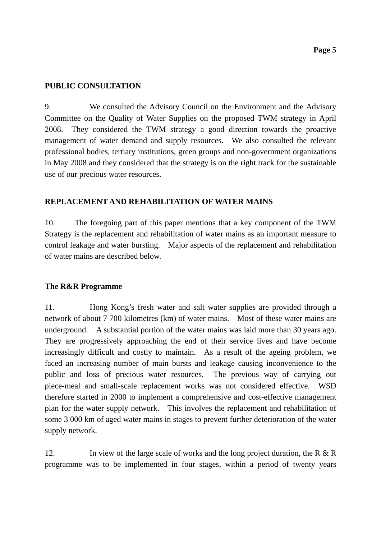#### **PUBLIC CONSULTATION**

9. We consulted the Advisory Council on the Environment and the Advisory Committee on the Quality of Water Supplies on the proposed TWM strategy in April 2008. They considered the TWM strategy a good direction towards the proactive management of water demand and supply resources. We also consulted the relevant professional bodies, tertiary institutions, green groups and non-government organizations in May 2008 and they considered that the strategy is on the right track for the sustainable use of our precious water resources.

#### **REPLACEMENT AND REHABILITATION OF WATER MAINS**

10. The foregoing part of this paper mentions that a key component of the TWM Strategy is the replacement and rehabilitation of water mains as an important measure to control leakage and water bursting. Major aspects of the replacement and rehabilitation of water mains are described below.

#### **The R&R Programme**

11. Hong Kong's fresh water and salt water supplies are provided through a network of about 7 700 kilometres (km) of water mains. Most of these water mains are underground. A substantial portion of the water mains was laid more than 30 years ago. They are progressively approaching the end of their service lives and have become increasingly difficult and costly to maintain. As a result of the ageing problem, we faced an increasing number of main bursts and leakage causing inconvenience to the public and loss of precious water resources. The previous way of carrying out piece-meal and small-scale replacement works was not considered effective. WSD therefore started in 2000 to implement a comprehensive and cost-effective management plan for the water supply network. This involves the replacement and rehabilitation of some 3 000 km of aged water mains in stages to prevent further deterioration of the water supply network.

12. In view of the large scale of works and the long project duration, the R  $\&$  R programme was to be implemented in four stages, within a period of twenty years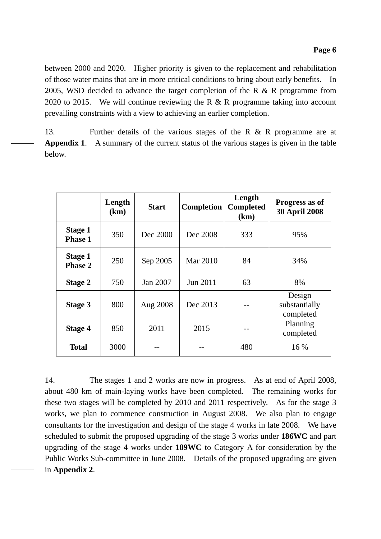between 2000 and 2020. Higher priority is given to the replacement and rehabilitation of those water mains that are in more critical conditions to bring about early benefits. In 2005, WSD decided to advance the target completion of the R & R programme from 2020 to 2015. We will continue reviewing the R & R programme taking into account prevailing constraints with a view to achieving an earlier completion.

13. Further details of the various stages of the R & R programme are at **Appendix 1**. A summary of the current status of the various stages is given in the table below.

|                                  | Length<br>(km) | <b>Start</b> | <b>Completion</b> | Length<br><b>Completed</b><br>(km) | Progress as of<br><b>30 April 2008</b> |
|----------------------------------|----------------|--------------|-------------------|------------------------------------|----------------------------------------|
| <b>Stage 1</b><br><b>Phase 1</b> | 350            | Dec 2000     | Dec 2008          | 333                                | 95%                                    |
| <b>Stage 1</b><br><b>Phase 2</b> | 250            | Sep 2005     | Mar 2010          | 84                                 | 34%                                    |
| Stage 2                          | 750            | Jan 2007     | Jun 2011          | 63                                 | 8%                                     |
| Stage 3                          | 800            | Aug 2008     | Dec 2013          |                                    | Design<br>substantially<br>completed   |
| <b>Stage 4</b>                   | 850            | 2011         | 2015              |                                    | Planning<br>completed                  |
| Total                            | 3000           |              |                   | 480                                | 16 %                                   |

14. The stages 1 and 2 works are now in progress. As at end of April 2008, about 480 km of main-laying works have been completed. The remaining works for these two stages will be completed by 2010 and 2011 respectively. As for the stage 3 works, we plan to commence construction in August 2008. We also plan to engage consultants for the investigation and design of the stage 4 works in late 2008. We have scheduled to submit the proposed upgrading of the stage 3 works under **186WC** and part upgrading of the stage 4 works under **189WC** to Category A for consideration by the Public Works Sub-committee in June 2008. Details of the proposed upgrading are given in **Appendix 2**.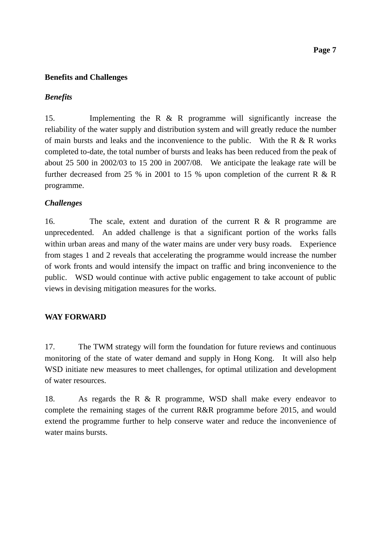### **Benefits and Challenges**

#### *Benefits*

15. Implementing the R & R programme will significantly increase the reliability of the water supply and distribution system and will greatly reduce the number of main bursts and leaks and the inconvenience to the public. With the R  $\&$  R works completed to-date, the total number of bursts and leaks has been reduced from the peak of about 25 500 in 2002/03 to 15 200 in 2007/08. We anticipate the leakage rate will be further decreased from 25 % in 2001 to 15 % upon completion of the current R  $\&$  R programme.

### *Challenges*

16. The scale, extent and duration of the current R & R programme are unprecedented. An added challenge is that a significant portion of the works falls within urban areas and many of the water mains are under very busy roads. Experience from stages 1 and 2 reveals that accelerating the programme would increase the number of work fronts and would intensify the impact on traffic and bring inconvenience to the public. WSD would continue with active public engagement to take account of public views in devising mitigation measures for the works.

### **WAY FORWARD**

17. The TWM strategy will form the foundation for future reviews and continuous monitoring of the state of water demand and supply in Hong Kong. It will also help WSD initiate new measures to meet challenges, for optimal utilization and development of water resources.

18. As regards the R & R programme, WSD shall make every endeavor to complete the remaining stages of the current R&R programme before 2015, and would extend the programme further to help conserve water and reduce the inconvenience of water mains bursts.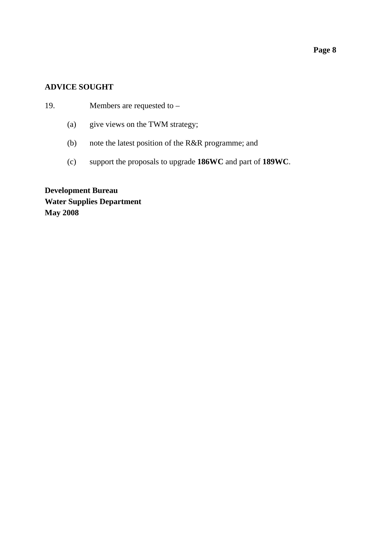## **Page 8**

### **ADVICE SOUGHT**

19. Members are requested to –

- (a) give views on the TWM strategy;
- (b) note the latest position of the R&R programme; and
- (c) support the proposals to upgrade **186WC** and part of **189WC**.

**Development Bureau Water Supplies Department May 2008**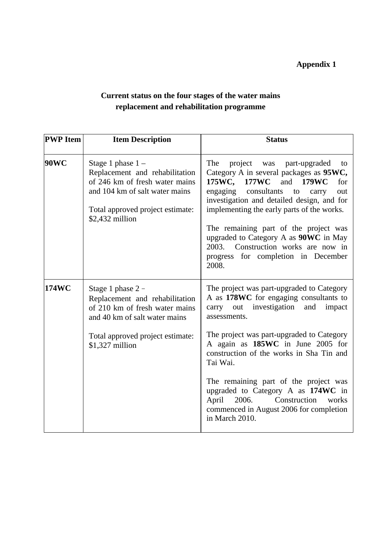# **Appendix 1**

# **Current status on the four stages of the water mains replacement and rehabilitation programme**

| <b>PWP</b> Item | <b>Item Description</b>                                                                                                                                                           | <b>Status</b>                                                                                                                                                                                                                                                                                                                                                                                                                                     |
|-----------------|-----------------------------------------------------------------------------------------------------------------------------------------------------------------------------------|---------------------------------------------------------------------------------------------------------------------------------------------------------------------------------------------------------------------------------------------------------------------------------------------------------------------------------------------------------------------------------------------------------------------------------------------------|
| 90WC            | Stage 1 phase $1 -$<br>Replacement and rehabilitation<br>of 246 km of fresh water mains<br>and 104 km of salt water mains<br>Total approved project estimate:<br>$$2,432$ million | The<br>project<br>was<br>part-upgraded<br>to<br>Category A in several packages as 95WC,<br>175WC, 177WC and 179WC<br>for<br>consultants<br>engaging<br>out<br>to<br>carry<br>investigation and detailed design, and for<br>implementing the early parts of the works.<br>The remaining part of the project was<br>upgraded to Category A as 90WC in May<br>2003.<br>Construction works are now in<br>progress for completion in December<br>2008. |
| 174WC           | Stage 1 phase $2 -$<br>Replacement and rehabilitation<br>of 210 km of fresh water mains<br>and 40 km of salt water mains<br>Total approved project estimate:<br>$$1,327$ million  | The project was part-upgraded to Category<br>A as 178WC for engaging consultants to<br>out investigation<br>and<br>impact<br>carry<br>assessments.<br>The project was part-upgraded to Category<br>A again as 185WC in June 2005 for                                                                                                                                                                                                              |
|                 |                                                                                                                                                                                   | construction of the works in Sha Tin and<br>Tai Wai.<br>The remaining part of the project was<br>upgraded to Category A as 174WC in<br>Construction<br>April<br>2006.<br>works<br>commenced in August 2006 for completion<br>in March 2010.                                                                                                                                                                                                       |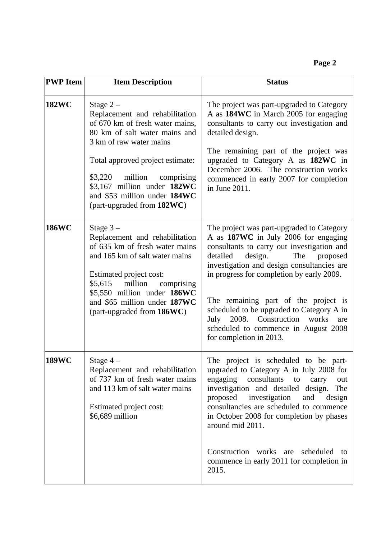| <b>PWP</b> Item | <b>Item Description</b>                                                                                                                                                                                                                                                                                        | <b>Status</b>                                                                                                                                                                                                                                                                                                                                                                                                                                                           |
|-----------------|----------------------------------------------------------------------------------------------------------------------------------------------------------------------------------------------------------------------------------------------------------------------------------------------------------------|-------------------------------------------------------------------------------------------------------------------------------------------------------------------------------------------------------------------------------------------------------------------------------------------------------------------------------------------------------------------------------------------------------------------------------------------------------------------------|
| <b>182WC</b>    | Stage $2-$<br>Replacement and rehabilitation<br>of 670 km of fresh water mains,<br>80 km of salt water mains and<br>3 km of raw water mains<br>Total approved project estimate:<br>$$3,220$ million<br>comprising<br>\$3,167 million under 182WC<br>and \$53 million under 184WC<br>(part-upgraded from 182WC) | The project was part-upgraded to Category<br>A as 184WC in March 2005 for engaging<br>consultants to carry out investigation and<br>detailed design.<br>The remaining part of the project was<br>upgraded to Category A as 182WC in<br>December 2006. The construction works<br>commenced in early 2007 for completion<br>in June 2011.                                                                                                                                 |
| <b>186WC</b>    | Stage $3-$<br>Replacement and rehabilitation<br>of 635 km of fresh water mains<br>and 165 km of salt water mains<br>Estimated project cost:<br>\$5,615<br>million<br>comprising<br>\$5,550 million under 186WC<br>and \$65 million under 187WC<br>(part-upgraded from 186WC)                                   | The project was part-upgraded to Category<br>A as 187WC in July 2006 for engaging<br>consultants to carry out investigation and<br>design.<br>detailed<br>The<br>proposed<br>investigation and design consultancies are<br>in progress for completion by early 2009.<br>The remaining part of the project is<br>scheduled to be upgraded to Category A in<br>July 2008. Construction<br>works<br>are<br>scheduled to commence in August 2008<br>for completion in 2013. |
| <b>189WC</b>    | Stage 4 -<br>Replacement and rehabilitation<br>of 737 km of fresh water mains<br>and 113 km of salt water mains<br>Estimated project cost:<br>\$6,689 million                                                                                                                                                  | The project is scheduled to be part-<br>upgraded to Category A in July 2008 for<br>consultants<br>engaging<br>to<br>carry<br>out<br>investigation and detailed design.<br>The<br>proposed<br>investigation<br>and<br>design<br>consultancies are scheduled to commence<br>in October 2008 for completion by phases<br>around mid 2011.<br>Construction works are<br>scheduled<br>to                                                                                     |
|                 |                                                                                                                                                                                                                                                                                                                | commence in early 2011 for completion in<br>2015.                                                                                                                                                                                                                                                                                                                                                                                                                       |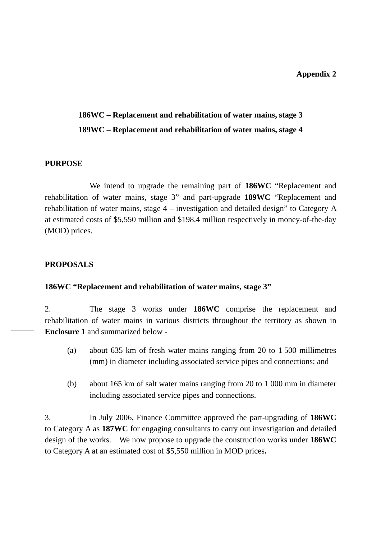### **Appendix 2**

## **186WC – Replacement and rehabilitation of water mains, stage 3**

## **189WC – Replacement and rehabilitation of water mains, stage 4**

## **PURPOSE**

 We intend to upgrade the remaining part of **186WC** "Replacement and rehabilitation of water mains, stage 3" and part-upgrade **189WC** "Replacement and rehabilitation of water mains, stage 4 – investigation and detailed design" to Category A at estimated costs of \$5,550 million and \$198.4 million respectively in money-of-the-day (MOD) prices.

## **PROPOSALS**

## **186WC "Replacement and rehabilitation of water mains, stage 3"**

2. The stage 3 works under **186WC** comprise the replacement and rehabilitation of water mains in various districts throughout the territory as shown in **Enclosure 1** and summarized below -

- (a) about 635 km of fresh water mains ranging from 20 to 1 500 millimetres (mm) in diameter including associated service pipes and connections; and
- (b) about 165 km of salt water mains ranging from 20 to 1 000 mm in diameter including associated service pipes and connections.

3. In July 2006, Finance Committee approved the part-upgrading of **186WC**  to Category A as **187WC** for engaging consultants to carry out investigation and detailed design of the works. We now propose to upgrade the construction works under **186WC**  to Category A at an estimated cost of \$5,550 million in MOD prices**.**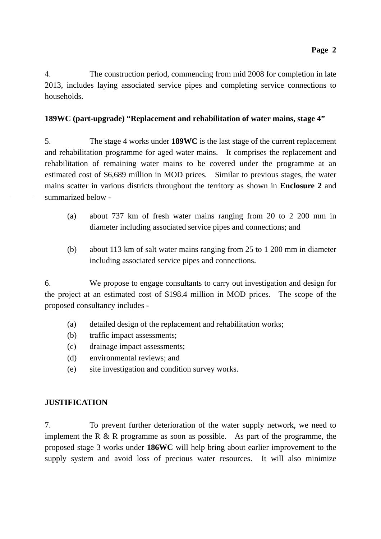4. The construction period, commencing from mid 2008 for completion in late 2013, includes laying associated service pipes and completing service connections to households.

## **189WC (part-upgrade) "Replacement and rehabilitation of water mains, stage 4"**

5. The stage 4 works under **189WC** is the last stage of the current replacement and rehabilitation programme for aged water mains. It comprises the replacement and rehabilitation of remaining water mains to be covered under the programme at an estimated cost of \$6,689 million in MOD prices. Similar to previous stages, the water mains scatter in various districts throughout the territory as shown in **Enclosure 2** and summarized below -

- (a) about 737 km of fresh water mains ranging from 20 to 2 200 mm in diameter including associated service pipes and connections; and
- (b) about 113 km of salt water mains ranging from 25 to 1 200 mm in diameter including associated service pipes and connections.

6. We propose to engage consultants to carry out investigation and design for the project at an estimated cost of \$198.4 million in MOD prices. The scope of the proposed consultancy includes -

- (a) detailed design of the replacement and rehabilitation works;
- (b) traffic impact assessments;
- (c) drainage impact assessments;
- (d) environmental reviews; and
- (e) site investigation and condition survey works.

## **JUSTIFICATION**

7. To prevent further deterioration of the water supply network, we need to implement the R  $\&$  R programme as soon as possible. As part of the programme, the proposed stage 3 works under **186WC** will help bring about earlier improvement to the supply system and avoid loss of precious water resources. It will also minimize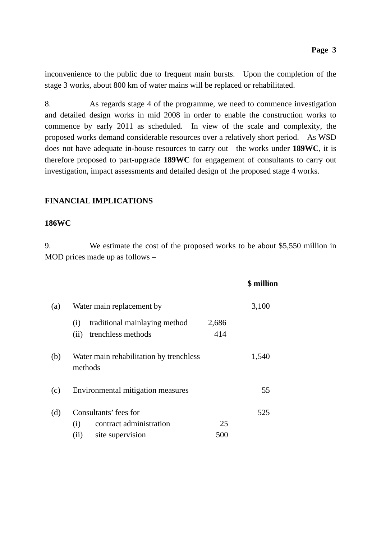inconvenience to the public due to frequent main bursts. Upon the completion of the stage 3 works, about 800 km of water mains will be replaced or rehabilitated.

8. As regards stage 4 of the programme, we need to commence investigation and detailed design works in mid 2008 in order to enable the construction works to commence by early 2011 as scheduled. In view of the scale and complexity, the proposed works demand considerable resources over a relatively short period. As WSD does not have adequate in-house resources to carry out the works under **189WC**, it is therefore proposed to part-upgrade **189WC** for engagement of consultants to carry out investigation, impact assessments and detailed design of the proposed stage 4 works.

## **FINANCIAL IMPLICATIONS**

#### **186WC**

9. We estimate the cost of the proposed works to be about \$5,550 million in MOD prices made up as follows –

|     |                                                    |       | \$ million |
|-----|----------------------------------------------------|-------|------------|
| (a) | Water main replacement by                          |       | 3,100      |
|     | traditional mainlaying method<br>(i)               | 2,686 |            |
|     | trenchless methods<br>(ii)                         | 414   |            |
| (b) | Water main rehabilitation by trenchless<br>methods |       | 1,540      |
| (c) | Environmental mitigation measures                  |       | 55         |
| (d) | Consultants' fees for                              |       | 525        |
|     | contract administration<br>(i)                     | 25    |            |
|     | site supervision<br>(ii)                           | 500   |            |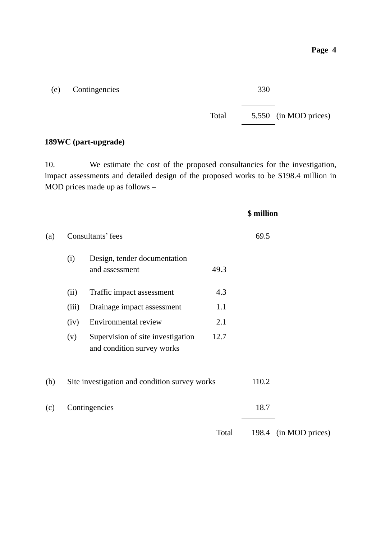(e) Contingencies 330

Total 5,550 (in MOD prices)

## **189WC (part-upgrade)**

10. We estimate the cost of the proposed consultancies for the investigation, impact assessments and detailed design of the proposed works to be \$198.4 million in MOD prices made up as follows –

|     |       |                                                                 |       | \$ million |                       |
|-----|-------|-----------------------------------------------------------------|-------|------------|-----------------------|
| (a) |       | Consultants' fees                                               | 69.5  |            |                       |
|     | (i)   | Design, tender documentation<br>and assessment                  | 49.3  |            |                       |
|     | (ii)  | Traffic impact assessment                                       | 4.3   |            |                       |
|     | (iii) | Drainage impact assessment                                      | 1.1   |            |                       |
|     | (iv)  | Environmental review                                            | 2.1   |            |                       |
|     | (v)   | Supervision of site investigation<br>and condition survey works | 12.7  |            |                       |
| (b) |       | Site investigation and condition survey works                   |       | 110.2      |                       |
| (c) |       | Contingencies                                                   |       | 18.7       |                       |
|     |       |                                                                 | Total |            | 198.4 (in MOD prices) |
|     |       |                                                                 |       |            |                       |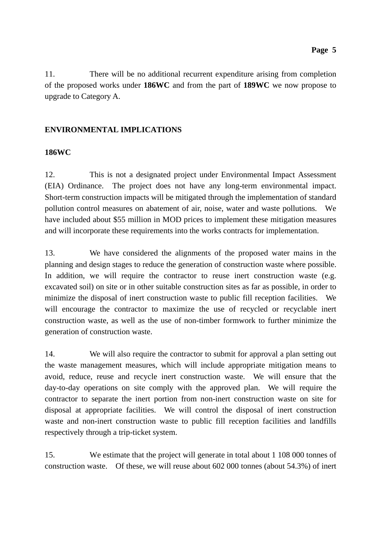11. There will be no additional recurrent expenditure arising from completion of the proposed works under **186WC** and from the part of **189WC** we now propose to upgrade to Category A.

## **ENVIRONMENTAL IMPLICATIONS**

### **186WC**

12. This is not a designated project under Environmental Impact Assessment (EIA) Ordinance. The project does not have any long-term environmental impact. Short-term construction impacts will be mitigated through the implementation of standard pollution control measures on abatement of air, noise, water and waste pollutions. We have included about \$55 million in MOD prices to implement these mitigation measures and will incorporate these requirements into the works contracts for implementation.

13. We have considered the alignments of the proposed water mains in the planning and design stages to reduce the generation of construction waste where possible. In addition, we will require the contractor to reuse inert construction waste (e.g. excavated soil) on site or in other suitable construction sites as far as possible, in order to minimize the disposal of inert construction waste to public fill reception facilities. We will encourage the contractor to maximize the use of recycled or recyclable inert construction waste, as well as the use of non-timber formwork to further minimize the generation of construction waste.

14. We will also require the contractor to submit for approval a plan setting out the waste management measures, which will include appropriate mitigation means to avoid, reduce, reuse and recycle inert construction waste. We will ensure that the day-to-day operations on site comply with the approved plan. We will require the contractor to separate the inert portion from non-inert construction waste on site for disposal at appropriate facilities. We will control the disposal of inert construction waste and non-inert construction waste to public fill reception facilities and landfills respectively through a trip-ticket system.

15. We estimate that the project will generate in total about 1 108 000 tonnes of construction waste. Of these, we will reuse about 602 000 tonnes (about 54.3%) of inert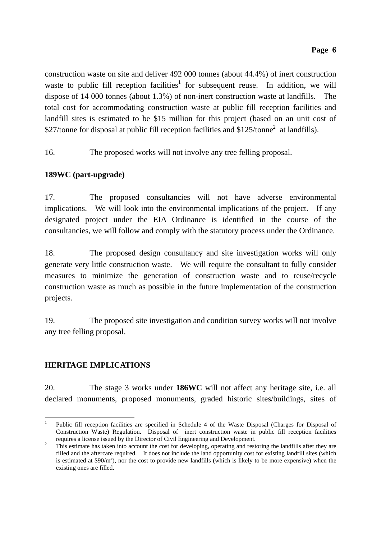construction waste on site and deliver 492 000 tonnes (about 44.4%) of inert construction waste to public fill reception facilities<sup>1</sup> for subsequent reuse. In addition, we will dispose of 14 000 tonnes (about 1.3%) of non-inert construction waste at landfills. The total cost for accommodating construction waste at public fill reception facilities and landfill sites is estimated to be \$15 million for this project (based on an unit cost of \$27/tonne for disposal at public fill reception facilities and \$125/tonne<sup>2</sup> at landfills).

16. The proposed works will not involve any tree felling proposal.

## **189WC (part-upgrade)**

17. The proposed consultancies will not have adverse environmental implications. We will look into the environmental implications of the project. If any designated project under the EIA Ordinance is identified in the course of the consultancies, we will follow and comply with the statutory process under the Ordinance.

18. The proposed design consultancy and site investigation works will only generate very little construction waste. We will require the consultant to fully consider measures to minimize the generation of construction waste and to reuse/recycle construction waste as much as possible in the future implementation of the construction projects.

19. The proposed site investigation and condition survey works will not involve any tree felling proposal.

## **HERITAGE IMPLICATIONS**

20. The stage 3 works under **186WC** will not affect any heritage site, i.e. all declared monuments, proposed monuments, graded historic sites/buildings, sites of

<sup>-</sup>1 Public fill reception facilities are specified in Schedule 4 of the Waste Disposal (Charges for Disposal of Construction Waste) Regulation. Disposal of inert construction waste in public fill reception facilities requires a license issued by the Director of Civil Engineering and Development. 2

This estimate has taken into account the cost for developing, operating and restoring the landfills after they are filled and the aftercare required. It does not include the land opportunity cost for existing landfill sites (which is estimated at  $$90/m<sup>3</sup>$ ), nor the cost to provide new landfills (which is likely to be more expensive) when the existing ones are filled.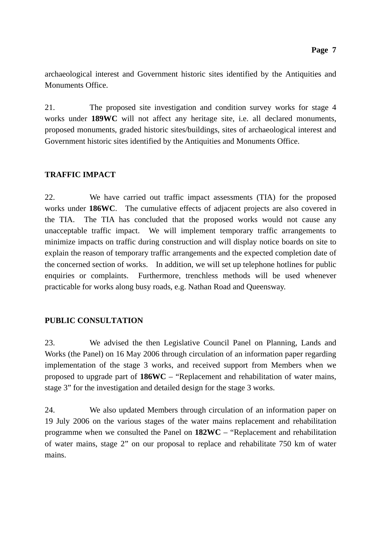archaeological interest and Government historic sites identified by the Antiquities and Monuments Office.

21. The proposed site investigation and condition survey works for stage 4 works under **189WC** will not affect any heritage site, i.e. all declared monuments, proposed monuments, graded historic sites/buildings, sites of archaeological interest and Government historic sites identified by the Antiquities and Monuments Office.

### **TRAFFIC IMPACT**

22. We have carried out traffic impact assessments (TIA) for the proposed works under **186WC**. The cumulative effects of adjacent projects are also covered in the TIA. The TIA has concluded that the proposed works would not cause any unacceptable traffic impact. We will implement temporary traffic arrangements to minimize impacts on traffic during construction and will display notice boards on site to explain the reason of temporary traffic arrangements and the expected completion date of the concerned section of works. In addition, we will set up telephone hotlines for public enquiries or complaints. Furthermore, trenchless methods will be used whenever practicable for works along busy roads, e.g. Nathan Road and Queensway.

## **PUBLIC CONSULTATION**

23. We advised the then Legislative Council Panel on Planning, Lands and Works (the Panel) on 16 May 2006 through circulation of an information paper regarding implementation of the stage 3 works, and received support from Members when we proposed to upgrade part of **186WC** – "Replacement and rehabilitation of water mains, stage 3" for the investigation and detailed design for the stage 3 works.

24. We also updated Members through circulation of an information paper on 19 July 2006 on the various stages of the water mains replacement and rehabilitation programme when we consulted the Panel on **182WC** – "Replacement and rehabilitation of water mains, stage 2" on our proposal to replace and rehabilitate 750 km of water mains.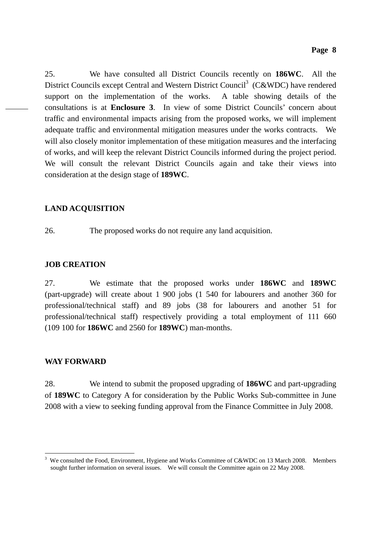25. We have consulted all District Councils recently on **186WC**. All the District Councils except Central and Western District Council<sup>3</sup> (C&WDC) have rendered support on the implementation of the works. A table showing details of the consultations is at **Enclosure 3**. In view of some District Councils' concern about traffic and environmental impacts arising from the proposed works, we will implement adequate traffic and environmental mitigation measures under the works contracts. We will also closely monitor implementation of these mitigation measures and the interfacing of works, and will keep the relevant District Councils informed during the project period. We will consult the relevant District Councils again and take their views into consideration at the design stage of **189WC**.

## **LAND ACQUISITION**

26. The proposed works do not require any land acquisition.

### **JOB CREATION**

27. We estimate that the proposed works under **186WC** and **189WC**  (part-upgrade) will create about 1 900 jobs (1 540 for labourers and another 360 for professional/technical staff) and 89 jobs (38 for labourers and another 51 for professional/technical staff) respectively providing a total employment of 111 660 (109 100 for **186WC** and 2560 for **189WC**) man-months.

### **WAY FORWARD**

28. We intend to submit the proposed upgrading of **186WC** and part-upgrading of **189WC** to Category A for consideration by the Public Works Sub-committee in June 2008 with a view to seeking funding approval from the Finance Committee in July 2008.

<sup>-</sup>3 We consulted the Food, Environment, Hygiene and Works Committee of C&WDC on 13 March 2008. Members sought further information on several issues. We will consult the Committee again on 22 May 2008.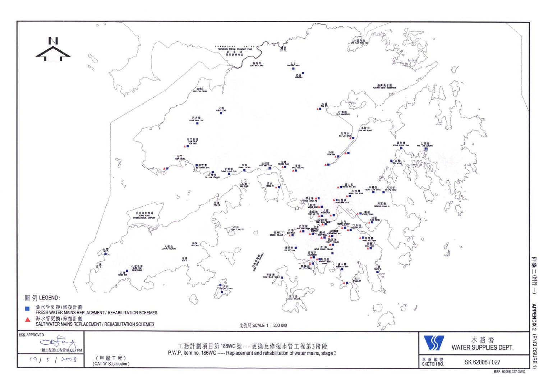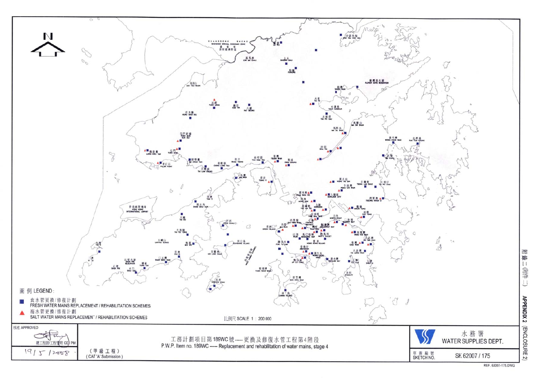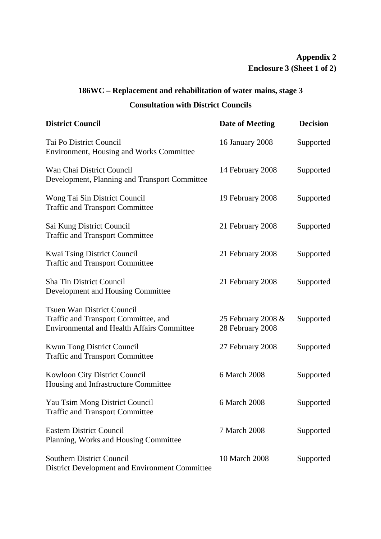## **Appendix 2 Enclosure 3 (Sheet 1 of 2)**

# **186WC – Replacement and rehabilitation of water mains, stage 3 Consultation with District Councils**

| <b>District Council</b>                                                                                                        | Date of Meeting                        | <b>Decision</b> |
|--------------------------------------------------------------------------------------------------------------------------------|----------------------------------------|-----------------|
| Tai Po District Council<br><b>Environment, Housing and Works Committee</b>                                                     | <b>16 January 2008</b>                 | Supported       |
| Wan Chai District Council<br>Development, Planning and Transport Committee                                                     | 14 February 2008                       | Supported       |
| Wong Tai Sin District Council<br><b>Traffic and Transport Committee</b>                                                        | 19 February 2008                       | Supported       |
| Sai Kung District Council<br><b>Traffic and Transport Committee</b>                                                            | 21 February 2008                       | Supported       |
| <b>Kwai Tsing District Council</b><br><b>Traffic and Transport Committee</b>                                                   | 21 February 2008                       | Supported       |
| <b>Sha Tin District Council</b><br>Development and Housing Committee                                                           | 21 February 2008                       | Supported       |
| <b>Tsuen Wan District Council</b><br>Traffic and Transport Committee, and<br><b>Environmental and Health Affairs Committee</b> | 25 February 2008 &<br>28 February 2008 | Supported       |
| <b>Kwun Tong District Council</b><br><b>Traffic and Transport Committee</b>                                                    | 27 February 2008                       | Supported       |
| <b>Kowloon City District Council</b><br>Housing and Infrastructure Committee                                                   | 6 March 2008                           | Supported       |
| Yau Tsim Mong District Council<br><b>Traffic and Transport Committee</b>                                                       | 6 March 2008                           | Supported       |
| <b>Eastern District Council</b><br>Planning, Works and Housing Committee                                                       | 7 March 2008                           | Supported       |
| <b>Southern District Council</b><br>District Development and Environment Committee                                             | 10 March 2008                          | Supported       |